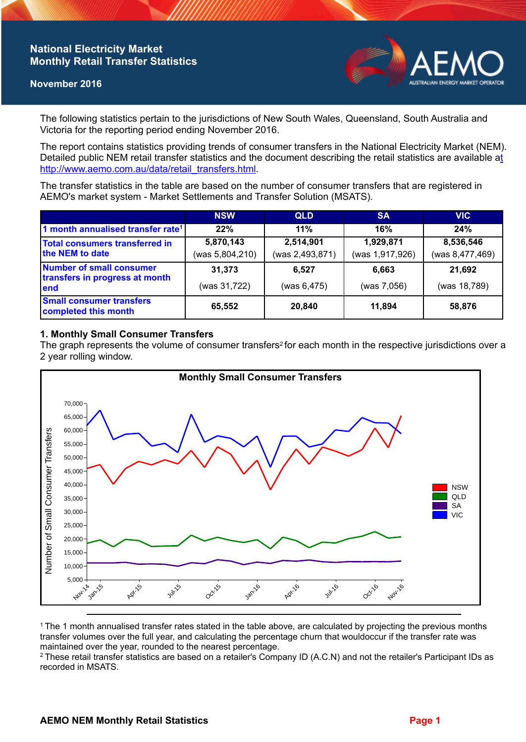## **National Electricity Market Monthly Retail Transfer Statistics**

#### **November 2016**



The following statistics pertain to the jurisdictions of New South Wales, Queensland, South Australia and Victoria for the reporting period ending November 2016.

The report contains statistics providing trends of consumer transfers in the National Electricity Market (NEM). Detailed public NEM retail transfer statistics and the document describing the retail statistics are available a[t](http://www.aemo.com.au/data/retail_transfers.html)  http://www.aemo.com.au/data/retail\_transfers.html

The transfer statistics in the table are based on the number of consumer transfers that are registered in AEMO's market system - Market Settlements and Transfer Solution (MSATS).

|                                                                    | <b>NSW</b>                   | <b>QLD</b>                   | <b>SA</b>                    | <b>VIC</b>                   |
|--------------------------------------------------------------------|------------------------------|------------------------------|------------------------------|------------------------------|
| 1 month annualised transfer rate <sup>1</sup>                      | 22%                          | 11%                          | 16%                          | 24%                          |
| Total consumers transferred in<br>the NEM to date                  | 5,870,143<br>(was 5,804,210) | 2,514,901<br>(was 2,493,871) | 1,929,871<br>(was 1,917,926) | 8,536,546<br>(was 8,477,469) |
| Number of small consumer<br>transfers in progress at month<br>lend | 31,373<br>(was 31,722)       | 6,527<br>(was 6,475)         | 6.663<br>(was 7,056)         | 21,692<br>(was 18,789)       |
| <b>Small consumer transfers</b><br>completed this month            | 65,552                       | 20,840                       | 11.894                       | 58,876                       |

## **1. Monthly Small Consumer Transfers**

The graph represents the volume of consumer transfers<sup>2</sup> for each month in the respective jurisdictions over a 2 year rolling window.



<sup>1</sup>The 1 month annualised transfer rates stated in the table above, are calculated by projecting the previous months transfer volumes over the full year, and calculating the percentage churn that wouldoccur if the transfer rate was maintained over the year, rounded to the nearest percentage.

<sup>2</sup> These retail transfer statistics are based on a retailer's Company ID (A.C.N) and not the retailer's Participant IDs as recorded in MSATS.